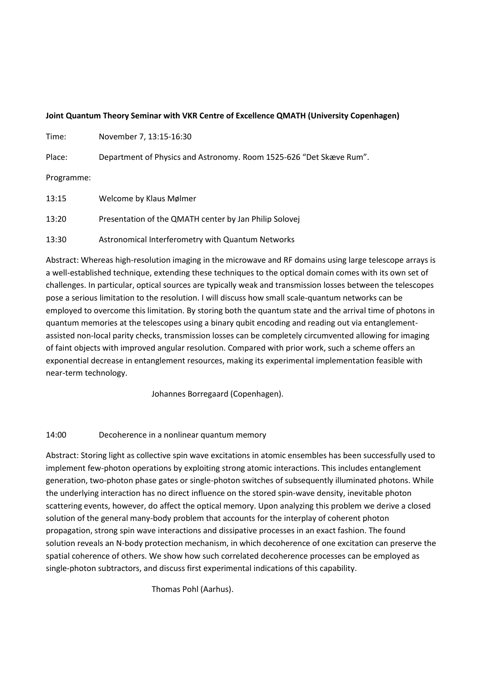#### **Joint Quantum Theory Seminar with VKR Centre of Excellence QMATH (University Copenhagen)**

| Time: | November 7, 13:15-16:30 |
|-------|-------------------------|
|-------|-------------------------|

Place: Department of Physics and Astronomy. Room 1525-626 "Det Skæve Rum".

Programme:

| 13:15 | Welcome by Klaus Mølmer                                |
|-------|--------------------------------------------------------|
| 13:20 | Presentation of the QMATH center by Jan Philip Solovej |
| 13:30 | Astronomical Interferometry with Quantum Networks      |

Abstract: Whereas high-resolution imaging in the microwave and RF domains using large telescope arrays is a well-established technique, extending these techniques to the optical domain comes with its own set of challenges. In particular, optical sources are typically weak and transmission losses between the telescopes pose a serious limitation to the resolution. I will discuss how small scale-quantum networks can be employed to overcome this limitation. By storing both the quantum state and the arrival time of photons in quantum memories at the telescopes using a binary qubit encoding and reading out via entanglementassisted non-local parity checks, transmission losses can be completely circumvented allowing for imaging of faint objects with improved angular resolution. Compared with prior work, such a scheme offers an exponential decrease in entanglement resources, making its experimental implementation feasible with near-term technology.

Johannes Borregaard (Copenhagen).

### 14:00 Decoherence in a nonlinear quantum memory

Abstract: Storing light as collective spin wave excitations in atomic ensembles has been successfully used to implement few-photon operations by exploiting strong atomic interactions. This includes entanglement generation, two-photon phase gates or single-photon switches of subsequently illuminated photons. While the underlying interaction has no direct influence on the stored spin-wave density, inevitable photon scattering events, however, do affect the optical memory. Upon analyzing this problem we derive a closed solution of the general many-body problem that accounts for the interplay of coherent photon propagation, strong spin wave interactions and dissipative processes in an exact fashion. The found solution reveals an N-body protection mechanism, in which decoherence of one excitation can preserve the spatial coherence of others. We show how such correlated decoherence processes can be employed as single-photon subtractors, and discuss first experimental indications of this capability.

Thomas Pohl (Aarhus).